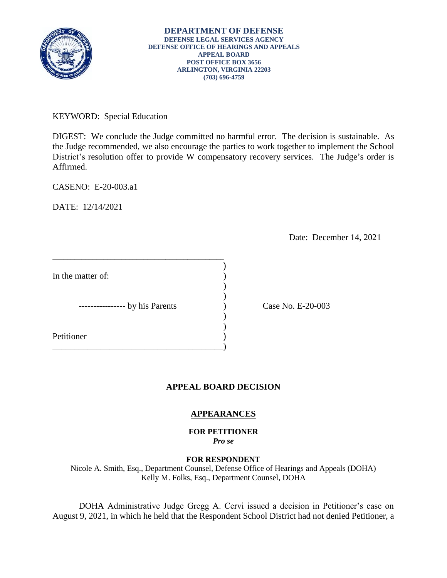

KEYWORD: Special Education

 DIGEST: We conclude the Judge committed no harmful error. The decision is sustainable. As the Judge recommended, we also encourage the parties to work together to implement the School District's resolution offer to provide W compensatory recovery services. The Judge's order is Affirmed.

)

CASENO: E-20-003.a1

DATE: 12/14/2021

Date: December 14, 2021

\_\_\_\_\_\_\_\_\_\_\_\_\_\_\_\_\_\_\_\_\_\_\_\_\_\_\_\_\_\_\_\_\_\_\_\_\_\_\_)

\_\_\_\_\_\_\_\_\_\_\_\_\_\_\_\_\_\_\_\_\_\_\_\_\_\_\_\_\_\_\_\_\_\_\_\_\_\_\_\_\_\_\_\_\_\_\_

Case No. E-20-003

# **APPEAL BOARD DECISION**

# **APPEARANCES**

**FOR PETITIONER**  *Pro se* 

## **FOR RESPONDENT**

Nicole A. Smith, Esq., Department Counsel, Defense Office of Hearings and Appeals (DOHA) Kelly M. Folks, Esq., Department Counsel, DOHA

 DOHA Administrative Judge Gregg A. Cervi issued a decision in Petitioner's case on August 9, 2021, in which he held that the Respondent School District had not denied Petitioner, a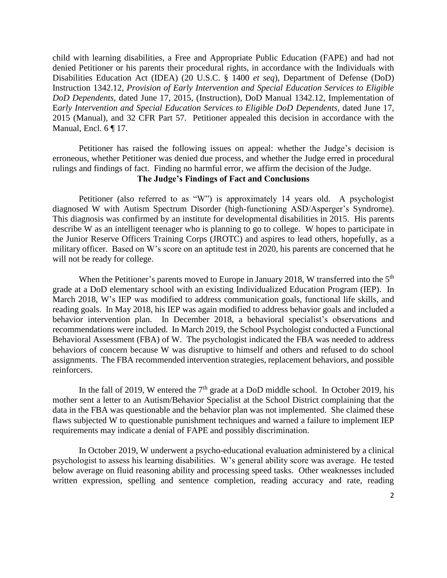child with learning disabilities, a Free and Appropriate Public Education (FAPE) and had not Early Intervention and Special Education Services to Eligible DoD Dependents, dated June 17, 2015 (Manual), and 32 CFR Part 57. Petitioner appealed this decision in accordance with the denied Petitioner or his parents their procedural rights, in accordance with the Individuals with Disabilities Education Act (IDEA) (20 U.S.C. § 1400 *et seq*), Department of Defense (DoD) Instruction 1342.12, *Provision of Early Intervention and Special Education Services to Eligible DoD Dependents,* dated June 17, 2015, (Instruction), DoD Manual 1342.12, Implementation of Manual, Encl. 6 ¶ 17.

 Petitioner has raised the following issues on appeal: whether the Judge's decision is erroneous, whether Petitioner was denied due process, and whether the Judge erred in procedural rulings and findings of fact. Finding no harmful error, we affirm the decision of the Judge.

# **The Judge's Findings of Fact and Conclusions**

diagnosed W with Autism Spectrum Disorder (high-functioning ASD/Asperger's Syndrome). describe W as an intelligent teenager who is planning to go to college. W hopes to participate in the Junior Reserve Officers Training Corps (JROTC) and aspires to lead others, hopefully, as a military officer. Based on W's score on an aptitude test in 2020, his parents are concerned that he Petitioner (also referred to as "W") is approximately 14 years old. A psychologist This diagnosis was confirmed by an institute for developmental disabilities in 2015. His parents will not be ready for college.

When the Petitioner's parents moved to Europe in January 2018, W transferred into the 5<sup>th</sup> March 2018, W's IEP was modified to address communication goals, functional life skills, and recommendations were included. In March 2019, the School Psychologist conducted a Functional Behavioral Assessment (FBA) of W. The psychologist indicated the FBA was needed to address behaviors of concern because W was disruptive to himself and others and refused to do school assignments. The FBA recommended intervention strategies, replacement behaviors, and possible grade at a DoD elementary school with an existing Individualized Education Program (IEP). In reading goals. In May 2018, his IEP was again modified to address behavior goals and included a behavior intervention plan. In December 2018, a behavioral specialist's observations and reinforcers.

In the fall of 2019, W entered the  $7<sup>th</sup>$  grade at a DoD middle school. In October 2019, his mother sent a letter to an Autism/Behavior Specialist at the School District complaining that the data in the FBA was questionable and the behavior plan was not implemented. She claimed these flaws subjected W to questionable punishment techniques and warned a failure to implement IEP requirements may indicate a denial of FAPE and possibly discrimination.

 In October 2019, W underwent a psycho-educational evaluation administered by a clinical psychologist to assess his learning disabilities. W's general ability score was average. He tested below average on fluid reasoning ability and processing speed tasks. Other weaknesses included written expression, spelling and sentence completion, reading accuracy and rate, reading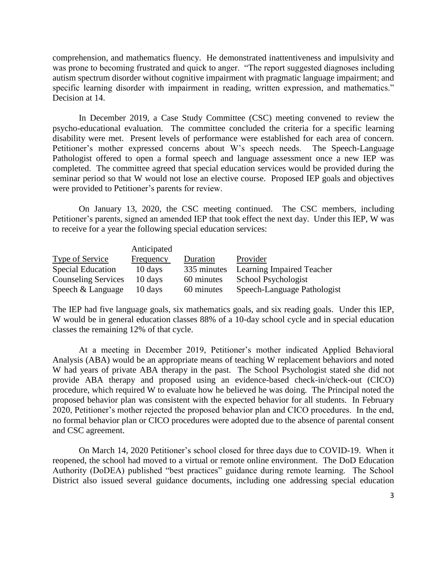comprehension, and mathematics fluency. He demonstrated inattentiveness and impulsivity and was prone to becoming frustrated and quick to anger. "The report suggested diagnoses including autism spectrum disorder without cognitive impairment with pragmatic language impairment; and specific learning disorder with impairment in reading, written expression, and mathematics." Decision at 14.

 In December 2019, a Case Study Committee (CSC) meeting convened to review the psycho-educational evaluation. The committee concluded the criteria for a specific learning disability were met. Present levels of performance were established for each area of concern. Pathologist offered to open a formal speech and language assessment once a new IEP was completed. The committee agreed that special education services would be provided during the seminar period so that W would not lose an elective course. Proposed IEP goals and objectives Petitioner's mother expressed concerns about W's speech needs. The Speech-Language were provided to Petitioner's parents for review.

 On January 13, 2020, the CSC meeting continued. The CSC members, including Petitioner's parents, signed an amended IEP that took effect the next day. Under this IEP, W was to receive for a year the following special education services:

|                            | Anticipated |             |                             |
|----------------------------|-------------|-------------|-----------------------------|
| Type of Service            | Frequency   | Duration    | Provider                    |
| Special Education          | 10 days     | 335 minutes | Learning Impaired Teacher   |
| <b>Counseling Services</b> | 10 days     | 60 minutes  | School Psychologist         |
| Speech & Language          | 10 days     | 60 minutes  | Speech-Language Pathologist |

 The IEP had five language goals, six mathematics goals, and six reading goals. Under this IEP, W would be in general education classes 88% of a 10-day school cycle and in special education classes the remaining 12% of that cycle.

 At a meeting in December 2019, Petitioner's mother indicated Applied Behavioral Analysis (ABA) would be an appropriate means of teaching W replacement behaviors and noted W had years of private ABA therapy in the past. The School Psychologist stated she did not provide ABA therapy and proposed using an evidence-based check-in/check-out (CICO) procedure, which required W to evaluate how he believed he was doing. The Principal noted the proposed behavior plan was consistent with the expected behavior for all students. In February 2020, Petitioner's mother rejected the proposed behavior plan and CICO procedures. In the end, no formal behavior plan or CICO procedures were adopted due to the absence of parental consent and CSC agreement.

 On March 14, 2020 Petitioner's school closed for three days due to COVID-19. When it reopened, the school had moved to a virtual or remote online environment. The DoD Education Authority (DoDEA) published "best practices" guidance during remote learning. The School District also issued several guidance documents, including one addressing special education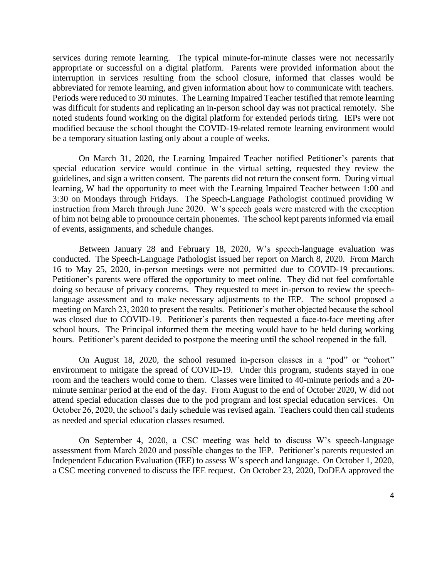services during remote learning. The typical minute-for-minute classes were not necessarily Periods were reduced to 30 minutes. The Learning Impaired Teacher testified that remote learning noted students found working on the digital platform for extended periods tiring. IEPs were not modified because the school thought the COVID-19-related remote learning environment would appropriate or successful on a digital platform. Parents were provided information about the interruption in services resulting from the school closure, informed that classes would be abbreviated for remote learning, and given information about how to communicate with teachers. was difficult for students and replicating an in-person school day was not practical remotely. She be a temporary situation lasting only about a couple of weeks.

 On March 31, 2020, the Learning Impaired Teacher notified Petitioner's parents that special education service would continue in the virtual setting, requested they review the guidelines, and sign a written consent. The parents did not return the consent form. During virtual learning, W had the opportunity to meet with the Learning Impaired Teacher between 1:00 and 3:30 on Mondays through Fridays. The Speech-Language Pathologist continued providing W instruction from March through June 2020. W's speech goals were mastered with the exception of him not being able to pronounce certain phonemes. The school kept parents informed via email of events, assignments, and schedule changes.

 conducted. The Speech-Language Pathologist issued her report on March 8, 2020. From March 16 to May 25, 2020, in-person meetings were not permitted due to COVID-19 precautions. 16 to May 25, 2020, in-person meetings were not permitted due to COVID-19 precautions. Petitioner's parents were offered the opportunity to meet online. They did not feel comfortable doing so because of privacy concerns. They requested to meet in-person to review the speech- language assessment and to make necessary adjustments to the IEP. The school proposed a meeting on March 23, 2020 to present the results. Petitioner's mother objected because the school was closed due to COVID-19. Petitioner's parents then requested a face-to-face meeting after school hours. The Principal informed them the meeting would have to be held during working Between January 28 and February 18, 2020, W's speech-language evaluation was hours. Petitioner's parent decided to postpone the meeting until the school reopened in the fall.

 On August 18, 2020, the school resumed in-person classes in a "pod" or "cohort" October 26, 2020, the school's daily schedule was revised again. Teachers could then call students environment to mitigate the spread of COVID-19. Under this program, students stayed in one room and the teachers would come to them. Classes were limited to 40-minute periods and a 20 minute seminar period at the end of the day. From August to the end of October 2020, W did not attend special education classes due to the pod program and lost special education services. On as needed and special education classes resumed.

 On September 4, 2020, a CSC meeting was held to discuss W's speech-language a CSC meeting convened to discuss the IEE request. On October 23, 2020, DoDEA approved the assessment from March 2020 and possible changes to the IEP. Petitioner's parents requested an Independent Education Evaluation (IEE) to assess W's speech and language. On October 1, 2020,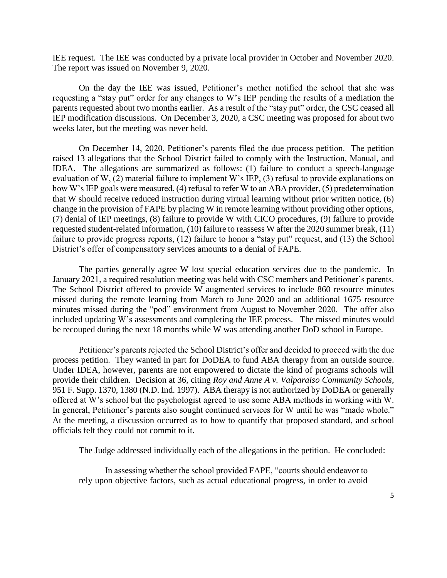IEE request. The IEE was conducted by a private local provider in October and November 2020. The report was issued on November 9, 2020.

 On the day the IEE was issued, Petitioner's mother notified the school that she was requesting a "stay put" order for any changes to W's IEP pending the results of a mediation the parents requested about two months earlier. As a result of the "stay put" order, the CSC ceased all IEP modification discussions. On December 3, 2020, a CSC meeting was proposed for about two weeks later, but the meeting was never held.

 On December 14, 2020, Petitioner's parents filed the due process petition. The petition raised 13 allegations that the School District failed to comply with the Instruction, Manual, and IDEA. The allegations are summarized as follows: (1) failure to conduct a speech-language evaluation of W, (2) material failure to implement W's IEP, (3) refusal to provide explanations on how W's IEP goals were measured, (4) refusal to refer W to an ABA provider, (5) predetermination that W should receive reduced instruction during virtual learning without prior written notice, (6) change in the provision of FAPE by placing W in remote learning without providing other options, (7) denial of IEP meetings, (8) failure to provide W with CICO procedures, (9) failure to provide requested student-related information, (10) failure to reassess W after the 2020 summer break, (11) failure to provide progress reports, (12) failure to honor a "stay put" request, and (13) the School District's offer of compensatory services amounts to a denial of FAPE.

 The parties generally agree W lost special education services due to the pandemic. In January 2021, a required resolution meeting was held with CSC members and Petitioner's parents. The School District offered to provide W augmented services to include 860 resource minutes missed during the remote learning from March to June 2020 and an additional 1675 resource minutes missed during the "pod" environment from August to November 2020. The offer also included updating W's assessments and completing the IEE process. The missed minutes would be recouped during the next 18 months while W was attending another DoD school in Europe.

process petition. They wanted in part for DoDEA to fund ABA therapy from an outside source. process petition. They wanted in part for DoDEA to fund ABA therapy from an outside source. Under IDEA, however, parents are not empowered to dictate the kind of programs schools will provide their children. Decision at 36, citing *Roy and Anne A v. Valparaiso Community Schools*, offered at W's school but the psychologist agreed to use some ABA methods in working with W. In general, Petitioner's parents also sought continued services for W until he was "made whole." officials felt they could not commit to it. Petitioner's parents rejected the School District's offer and decided to proceed with the due 951 F. Supp. 1370, 1380 (N.D. Ind. 1997). ABA therapy is not authorized by DoDEA or generally At the meeting, a discussion occurred as to how to quantify that proposed standard, and school

The Judge addressed individually each of the allegations in the petition. He concluded:

 In assessing whether the school provided FAPE, "courts should endeavor to rely upon objective factors, such as actual educational progress, in order to avoid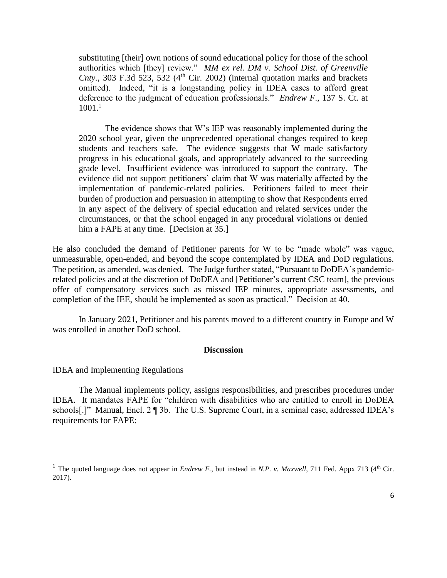substituting [their] own notions of sound educational policy for those of the school authorities which [they] review." *MM ex rel. DM v. School Dist. of Greenville*  omitted). Indeed, "it is a longstanding policy in IDEA cases to afford great deference to the judgment of education professionals." *Endrew F*., 137 S. Ct. at *Cnty.*, 303 F.3d 523, 532  $(4<sup>th</sup>$  Cir. 2002) (internal quotation marks and brackets  $1001.<sup>1</sup>$ 

 The evidence shows that W's IEP was reasonably implemented during the students and teachers safe. The evidence suggests that W made satisfactory grade level. Insufficient evidence was introduced to support the contrary. The evidence did not support petitioners' claim that W was materially affected by the 2020 school year, given the unprecedented operational changes required to keep progress in his educational goals, and appropriately advanced to the succeeding implementation of pandemic-related policies. Petitioners failed to meet their burden of production and persuasion in attempting to show that Respondents erred in any aspect of the delivery of special education and related services under the circumstances, or that the school engaged in any procedural violations or denied him a FAPE at any time. [Decision at 35.]

 He also concluded the demand of Petitioner parents for W to be "made whole" was vague, unmeasurable, open-ended, and beyond the scope contemplated by IDEA and DoD regulations. The petition, as amended, was denied. The Judge further stated, "Pursuant to DoDEA's pandemic- related policies and at the discretion of DoDEA and [Petitioner's current CSC team], the previous offer of compensatory services such as missed IEP minutes, appropriate assessments, and completion of the IEE, should be implemented as soon as practical." Decision at 40.

 In January 2021, Petitioner and his parents moved to a different country in Europe and W was enrolled in another DoD school.

## **Discussion**

#### IDEA and Implementing Regulations

l

 The Manual implements policy, assigns responsibilities, and prescribes procedures under schools[.]" Manual, Encl. 2 ¶ 3b. The U.S. Supreme Court, in a seminal case, addressed IDEA's IDEA. It mandates FAPE for "children with disabilities who are entitled to enroll in DoDEA requirements for FAPE:

<sup>&</sup>lt;sup>1</sup> The quoted language does not appear in *Endrew F*., but instead in *N.P. v. Maxwell*, 711 Fed. Appx 713 (4<sup>th</sup> Cir. 2017).  $2017$ ).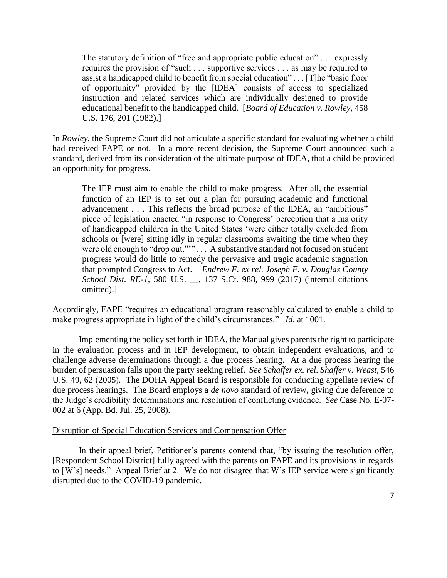The statutory definition of "free and appropriate public education" . . . expressly requires the provision of "such . . . supportive services . . . as may be required to assist a handicapped child to benefit from special education" . . . [T]he "basic floor of opportunity" provided by the [IDEA] consists of access to specialized instruction and related services which are individually designed to provide educational benefit to the handicapped child. [*Board of Education v. Rowley*, 458 U.S. 176, 201 (1982).]

 had received FAPE or not. In a more recent decision, the Supreme Court announced such a In *Rowley*, the Supreme Court did not articulate a specific standard for evaluating whether a child standard, derived from its consideration of the ultimate purpose of IDEA, that a child be provided an opportunity for progress.

 The IEP must aim to enable the child to make progress. After all, the essential function of an IEP is to set out a plan for pursuing academic and functional piece of legislation enacted "in response to Congress' perception that a majority of handicapped children in the United States 'were either totally excluded from schools or [were] sitting idly in regular classrooms awaiting the time when they progress would do little to remedy the pervasive and tragic academic stagnation that prompted Congress to Act. [*Endrew F. ex rel. Joseph F. v. Douglas County*  advancement . . . This reflects the broad purpose of the IDEA, an "ambitious" were old enough to "drop out.""" . . . A substantive standard not focused on student *School Dist. RE-1*, 580 U.S. \_\_, 137 S.Ct. 988, 999 (2017) (internal citations omitted).]

 make progress appropriate in light of the child's circumstances." *Id*. at 1001. Accordingly, FAPE "requires an educational program reasonably calculated to enable a child to

 Implementing the policy set forth in IDEA, the Manual gives parents the right to participate challenge adverse determinations through a due process hearing. At a due process hearing the burden of persuasion falls upon the party seeking relief. *See Schaffer ex. rel. Shaffer v. Weast*, 546 U.S. 49, 62 (2005). The DOHA Appeal Board is responsible for conducting appellate review of due process hearings. The Board employs a *de novo* standard of review, giving due deference to the Judge's credibility determinations and resolution of conflicting evidence. *See* Case No. E-07 in the evaluation process and in IEP development, to obtain independent evaluations, and to 002 at 6 (App. Bd. Jul. 25, 2008).

### Disruption of Special Education Services and Compensation Offer

 In their appeal brief, Petitioner's parents contend that, "by issuing the resolution offer, [Respondent School District] fully agreed with the parents on FAPE and its provisions in regards to [W's] needs." Appeal Brief at 2. We do not disagree that W's IEP service were significantly disrupted due to the COVID-19 pandemic.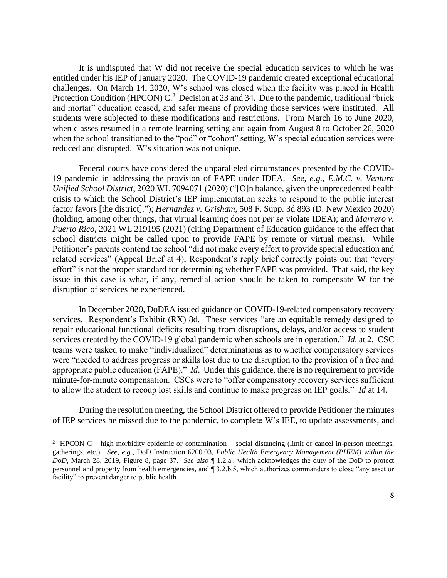It is undisputed that W did not receive the special education services to which he was entitled under his IEP of January 2020. The COVID-19 pandemic created exceptional educational challenges. On March 14, 2020, W's school was closed when the facility was placed in Health Protection Condition (HPCON)  $C<sup>2</sup>$  Decision at 23 and 34. Due to the pandemic, traditional "brick and mortar" education ceased, and safer means of providing those services were instituted. All students were subjected to these modifications and restrictions. From March 16 to June 2020, when classes resumed in a remote learning setting and again from August 8 to October 26, 2020 when the school transitioned to the "pod" or "cohort" setting, W's special education services were reduced and disrupted. W's situation was not unique.

 reduced and disrupted. W's situation was not unique. Federal courts have considered the unparalleled circumstances presented by the COVID- 19 pandemic in addressing the provision of FAPE under IDEA. *See, e.g.*, *E.M.C. v. Ventura Unified School District*, 2020 WL 7094071 (2020) ("[O]n balance, given the unprecedented health crisis to which the School District's IEP implementation seeks to respond to the public interest school districts might be called upon to provide FAPE by remote or virtual means). While effort" is not the proper standard for determining whether FAPE was provided. That said, the key issue in this case is what, if any, remedial action should be taken to compensate W for the factor favors [the district]."); *Hernandez v. Grisham*, 508 F. Supp. 3d 893 (D. New Mexico 2020) (holding, among other things, that virtual learning does not *per se* violate IDEA); and *Marrero v. Puerto Rico*, 2021 WL 219195 (2021) (citing Department of Education guidance to the effect that Petitioner's parents contend the school "did not make every effort to provide special education and related services" (Appeal Brief at 4), Respondent's reply brief correctly points out that "every disruption of services he experienced.

 In December 2020, DoDEA issued guidance on COVID-19-related compensatory recovery services. Respondent's Exhibit (RX) 8d. These services "are an equitable remedy designed to services created by the COVID-19 global pandemic when schools are in operation." *Id*. at 2. CSC were "needed to address progress or skills lost due to the disruption to the provision of a free and appropriate public education (FAPE)." *Id*. Under this guidance, there is no requirement to provide minute-for-minute compensation. CSCs were to "offer compensatory recovery services sufficient to allow the student to recoup lost skills and continue to make progress on IEP goals." *Id* at 14. repair educational functional deficits resulting from disruptions, delays, and/or access to student teams were tasked to make "individualized" determinations as to whether compensatory services

During the resolution meeting, the School District offered to provide Petitioner the minutes of IEP services he missed due to the pandemic, to complete W's IEE, to update assessments, and

 $\overline{a}$ 

<sup>&</sup>lt;sup>2</sup> HPCON C – high morbidity epidemic or contamination – social distancing (limit or cancel in-person meetings, gatherings, etc.). *See, e.g.,* DoD Instruction 6200.03, *Public Health Emergency Management (PHEM) within the DoD*, March 28, 2019, Figure 8, page 37. *See also* ¶ 1.2.a., which acknowledges the duty of the DoD to protect personnel and property from health emergencies, and ¶ 3.2.b.5, which authorizes commanders to close "any asset or facility" to prevent danger to public health.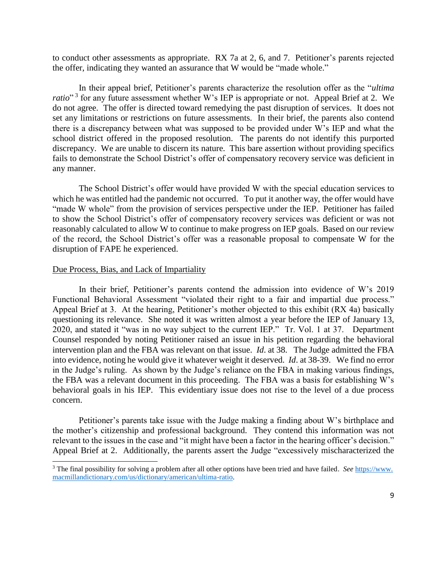to conduct other assessments as appropriate. RX 7a at 2, 6, and 7. Petitioner's parents rejected the offer, indicating they wanted an assurance that W would be "made whole."

ratio<sup>" 3</sup> for any future assessment whether W's IEP is appropriate or not. Appeal Brief at 2. We do not agree. The offer is directed toward remedying the past disruption of services. It does not set any limitations or restrictions on future assessments. In their brief, the parents also contend there is a discrepancy between what was supposed to be provided under W's IEP and what the school district offered in the proposed resolution. The parents do not identify this purported discrepancy. We are unable to discern its nature. This bare assertion without providing specifics fails to demonstrate the School District's offer of compensatory recovery service was deficient in In their appeal brief, Petitioner's parents characterize the resolution offer as the "*ultima*  any manner.

 The School District's offer would have provided W with the special education services to which he was entitled had the pandemic not occurred. To put it another way, the offer would have "made W whole" from the provision of services perspective under the IEP. Petitioner has failed to show the School District's offer of compensatory recovery services was deficient or was not reasonably calculated to allow W to continue to make progress on IEP goals. Based on our review of the record, the School District's offer was a reasonable proposal to compensate W for the disruption of FAPE he experienced.

#### Due Process, Bias, and Lack of Impartiality

 $\overline{a}$ 

 Functional Behavioral Assessment "violated their right to a fair and impartial due process." Appeal Brief at 3. At the hearing, Petitioner's mother objected to this exhibit (RX 4a) basically questioning its relevance. She noted it was written almost a year before the IEP of January 13, 2020, and stated it "was in no way subject to the current IEP." Tr. Vol. 1 at 37. Department Counsel responded by noting Petitioner raised an issue in his petition regarding the behavioral intervention plan and the FBA was relevant on that issue. *Id*. at 38. The Judge admitted the FBA into evidence, noting he would give it whatever weight it deserved. *Id*. at 38-39. We find no error in the Judge's ruling. As shown by the Judge's reliance on the FBA in making various findings, the FBA was a relevant document in this proceeding. The FBA was a basis for establishing W's behavioral goals in his IEP. This evidentiary issue does not rise to the level of a due process In their brief, Petitioner's parents contend the admission into evidence of W's 2019 concern.

 Petitioner's parents take issue with the Judge making a finding about W's birthplace and the mother's citizenship and professional background. They contend this information was not relevant to the issues in the case and "it might have been a factor in the hearing officer's decision." Appeal Brief at 2. Additionally, the parents assert the Judge "excessively mischaracterized the

 3 The final possibility for solving a problem after all other options have been tried and have failed. *See* https://www. macmillandictionary.com/us/dictionary/american/ultima-ratio.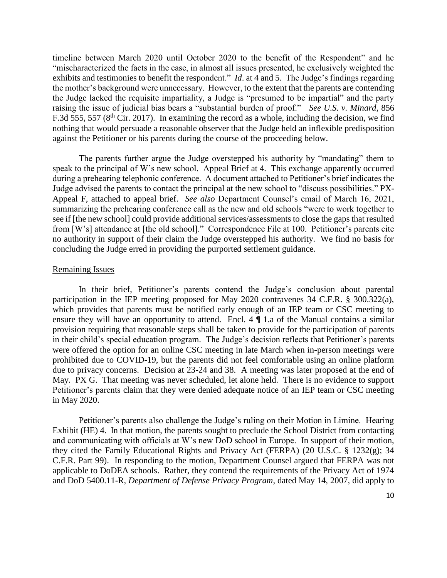timeline between March 2020 until October 2020 to the benefit of the Respondent" and he exhibits and testimonies to benefit the respondent." *Id*. at 4 and 5. The Judge's findings regarding the mother's background were unnecessary. However, to the extent that the parents are contending the Judge lacked the requisite impartiality, a Judge is "presumed to be impartial" and the party raising the issue of judicial bias bears a "substantial burden of proof." *See U.S. v. Minard*, 856 nothing that would persuade a reasonable observer that the Judge held an inflexible predisposition "mischaracterized the facts in the case, in almost all issues presented, he exclusively weighted the F.3d 555, 557 ( $8<sup>th</sup>$  Cir. 2017). In examining the record as a whole, including the decision, we find against the Petitioner or his parents during the course of the proceeding below.

 The parents further argue the Judge overstepped his authority by "mandating" them to speak to the principal of W's new school. Appeal Brief at 4. This exchange apparently occurred during a prehearing telephonic conference. A document attached to Petitioner's brief indicates the Judge advised the parents to contact the principal at the new school to "discuss possibilities." PX- from [W's] attendance at [the old school]." Correspondence File at 100. Petitioner's parents cite no authority in support of their claim the Judge overstepped his authority. We find no basis for concluding the Judge erred in providing the purported settlement guidance.<br>Remaining Issues Appeal F, attached to appeal brief. *See also* Department Counsel's email of March 16, 2021, summarizing the prehearing conference call as the new and old schools "were to work together to see if [the new school] could provide additional services/assessments to close the gaps that resulted

 participation in the IEP meeting proposed for May 2020 contravenes 34 C.F.R. § 300.322(a), which provides that parents must be notified early enough of an IEP team or CSC meeting to ensure they will have an opportunity to attend. Encl.  $4 \nparallel 1$  a of the Manual contains a similar provision requiring that reasonable steps shall be taken to provide for the participation of parents were offered the option for an online CSC meeting in late March when in-person meetings were prohibited due to COVID-19, but the parents did not feel comfortable using an online platform due to privacy concerns. Decision at 23-24 and 38. A meeting was later proposed at the end of May. PX G. That meeting was never scheduled, let alone held. There is no evidence to support Petitioner's parents claim that they were denied adequate notice of an IEP team or CSC meeting In their brief, Petitioner's parents contend the Judge's conclusion about parental in their child's special education program. The Judge's decision reflects that Petitioner's parents in May 2020.

 Petitioner's parents also challenge the Judge's ruling on their Motion in Limine. Hearing Exhibit (HE) 4. In that motion, the parents sought to preclude the School District from contacting and communicating with officials at W's new DoD school in Europe. In support of their motion, C.F.R. Part 99). In responding to the motion, Department Counsel argued that FERPA was not applicable to DoDEA schools. Rather, they contend the requirements of the Privacy Act of 1974  and DoD 5400.11-R, *Department of Defense Privacy Program*, dated May 14, 2007, did apply to they cited the Family Educational Rights and Privacy Act (FERPA) (20 U.S.C. § 1232(g); 34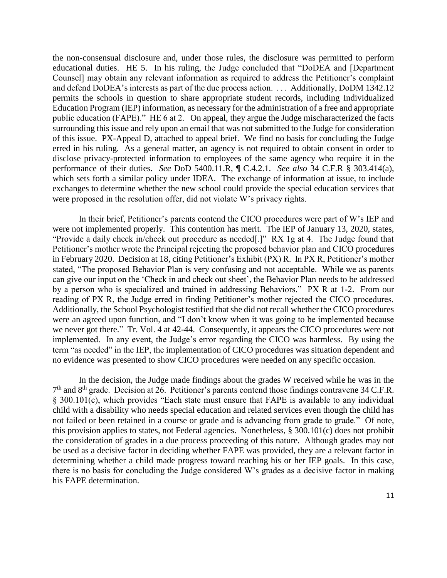Counsel] may obtain any relevant information as required to address the Petitioner's complaint and defend DoDEA's interests as part of the due process action. . . . Additionally, DoDM 1342.12 permits the schools in question to share appropriate student records, including Individualized Education Program (IEP) information, as necessary for the administration of a free and appropriate public education (FAPE)." HE 6 at 2. On appeal, they argue the Judge mischaracterized the facts surrounding this issue and rely upon an email that was not submitted to the Judge for consideration of this issue. PX-Appeal D, attached to appeal brief. We find no basis for concluding the Judge disclose privacy-protected information to employees of the same agency who require it in the performance of their duties. *See* DoD 5400.11.R, ¶ C.4.2.1. *See also* 34 C.F.R § 303.414(a), which sets forth a similar policy under IDEA. The exchange of information at issue, to include the non-consensual disclosure and, under those rules, the disclosure was permitted to perform educational duties. HE 5. In his ruling, the Judge concluded that "DoDEA and [Department erred in his ruling. As a general matter, an agency is not required to obtain consent in order to exchanges to determine whether the new school could provide the special education services that were proposed in the resolution offer, did not violate W's privacy rights.

 In their brief, Petitioner's parents contend the CICO procedures were part of W's IEP and were not implemented properly. This contention has merit. The IEP of January 13, 2020, states, "Provide a daily check in/check out procedure as needed[.]" RX 1g at 4. The Judge found that in February 2020. Decision at 18, citing Petitioner's Exhibit (PX) R. In PX R, Petitioner's mother stated, "The proposed Behavior Plan is very confusing and not acceptable. While we as parents can give our input on the 'Check in and check out sheet', the Behavior Plan needs to be addressed by a person who is specialized and trained in addressing Behaviors." PX R at 1-2. From our reading of PX R, the Judge erred in finding Petitioner's mother rejected the CICO procedures. Additionally, the School Psychologist testified that she did not recall whether the CICO procedures were an agreed upon function, and "I don't know when it was going to be implemented because we never got there." Tr. Vol. 4 at 42-44. Consequently, it appears the CICO procedures were not implemented. In any event, the Judge's error regarding the CICO was harmless. By using the Petitioner's mother wrote the Principal rejecting the proposed behavior plan and CICO procedures term "as needed" in the IEP, the implementation of CICO procedures was situation dependent and no evidence was presented to show CICO procedures were needed on any specific occasion.

 In the decision, the Judge made findings about the grades W received while he was in the § 300.101(c), which provides "Each state must ensure that FAPE is available to any individual not failed or been retained in a course or grade and is advancing from grade to grade." Of note, the consideration of grades in a due process proceeding of this nature. Although grades may not be used as a decisive factor in deciding whether FAPE was provided, they are a relevant factor in determining whether a child made progress toward reaching his or her IEP goals. In this case, there is no basis for concluding the Judge considered W's grades as a decisive factor in making  $7<sup>th</sup>$  and  $8<sup>th</sup>$  grade. Decision at 26. Petitioner's parents contend those findings contravene 34 C.F.R. child with a disability who needs special education and related services even though the child has this provision applies to states, not Federal agencies. Nonetheless, § 300.101(c) does not prohibit his FAPE determination.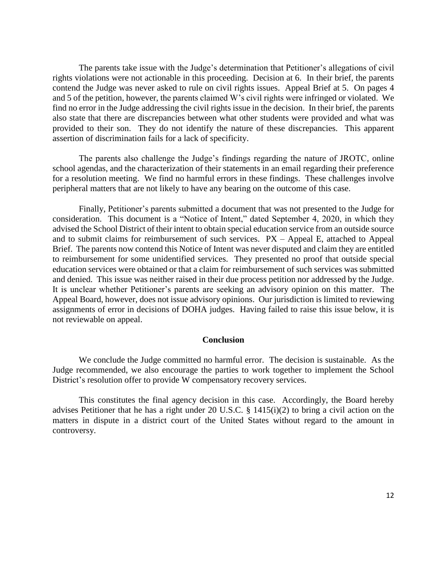The parents take issue with the Judge's determination that Petitioner's allegations of civil rights violations were not actionable in this proceeding. Decision at 6. In their brief, the parents contend the Judge was never asked to rule on civil rights issues. Appeal Brief at 5. On pages 4 find no error in the Judge addressing the civil rights issue in the decision. In their brief, the parents also state that there are discrepancies between what other students were provided and what was provided to their son. They do not identify the nature of these discrepancies. This apparent and 5 of the petition, however, the parents claimed W's civil rights were infringed or violated. We assertion of discrimination fails for a lack of specificity.

 for a resolution meeting. We find no harmful errors in these findings. These challenges involve The parents also challenge the Judge's findings regarding the nature of JROTC, online school agendas, and the characterization of their statements in an email regarding their preference peripheral matters that are not likely to have any bearing on the outcome of this case.

 Finally, Petitioner's parents submitted a document that was not presented to the Judge for consideration. This document is a "Notice of Intent," dated September 4, 2020, in which they advised the School District of their intent to obtain special education service from an outside source and to submit claims for reimbursement of such services. PX – Appeal E, attached to Appeal Brief. The parents now contend this Notice of Intent was never disputed and claim they are entitled to reimbursement for some unidentified services. They presented no proof that outside special education services were obtained or that a claim for reimbursement of such services was submitted and denied. This issue was neither raised in their due process petition nor addressed by the Judge. It is unclear whether Petitioner's parents are seeking an advisory opinion on this matter. The Appeal Board, however, does not issue advisory opinions. Our jurisdiction is limited to reviewing assignments of error in decisions of DOHA judges. Having failed to raise this issue below, it is not reviewable on appeal.

#### **Conclusion**

 We conclude the Judge committed no harmful error. The decision is sustainable. As the District's resolution offer to provide W compensatory recovery services. District's resolution offer to provide W compensatory recovery services.<br>This constitutes the final agency decision in this case. Accordingly, the Board hereby Judge recommended, we also encourage the parties to work together to implement the School

 advises Petitioner that he has a right under 20 U.S.C. § 1415(i)(2) to bring a civil action on the matters in dispute in a district court of the United States without regard to the amount in controversy.